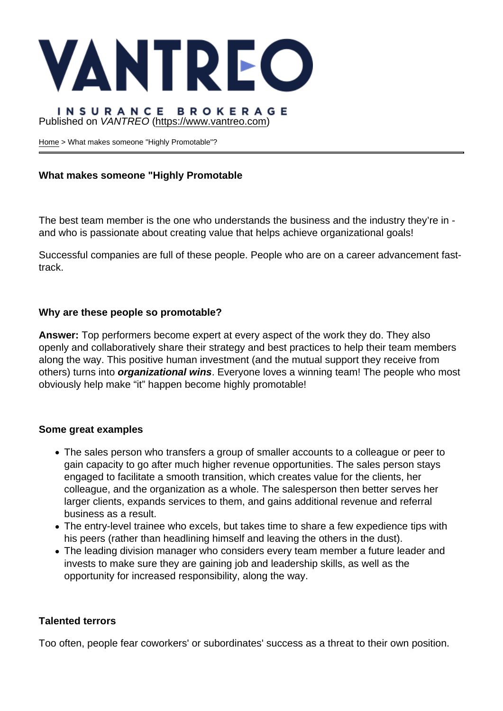## Published on VANTREO [\(https://www.vantreo.com](https://www.vantreo.com))

[Home](https://www.vantreo.com/) > What makes someone "Highly Promotable"?

What makes someone "Highly Promotable

The best team member is the one who understands the business and the industry they're in and who is passionate about creating value that helps achieve organizational goals!

Successful companies are full of these people. People who are on a career advancement fasttrack.

Why are these people so promotable?

Answer: Top performers become expert at every aspect of the work they do. They also openly and collaboratively share their strategy and best practices to help their team members along the way. This positive human investment (and the mutual support they receive from others) turns into organizational wins . Everyone loves a winning team! The people who most obviously help make "it" happen become highly promotable!

### Some great examples

- The sales person who transfers a group of smaller accounts to a colleague or peer to gain capacity to go after much higher revenue opportunities. The sales person stays engaged to facilitate a smooth transition, which creates value for the clients, her colleague, and the organization as a whole. The salesperson then better serves her larger clients, expands services to them, and gains additional revenue and referral business as a result.
- The entry-level trainee who excels, but takes time to share a few expedience tips with his peers (rather than headlining himself and leaving the others in the dust).
- The leading division manager who considers every team member a future leader and invests to make sure they are gaining job and leadership skills, as well as the opportunity for increased responsibility, along the way.

### Talented terrors

Too often, people fear coworkers' or subordinates' success as a threat to their own position.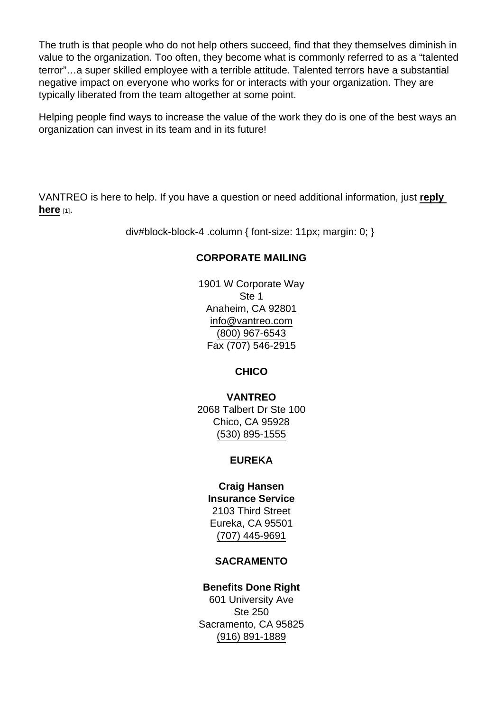The truth is that people who do not help others succeed, find that they themselves diminish in value to the organization. Too often, they become what is commonly referred to as a "talented terror"…a super skilled employee with a terrible attitude. Talented terrors have a substantial negative impact on everyone who works for or interacts with your organization. They are typically liberated from the team altogether at some point.

Helping people find ways to increase the value of the work they do is one of the best ways an organization can invest in its team and in its future!

VANTREO is here to help. If you have a question or need additional information, just [reply](mailto:executiveservices@vantreo.com?subject=What makes someone Highly Promotable ?)  here  $[1]$ .

div#block-block-4 .column { font-size: 11px; margin: 0; }

## CORPORATE MAILING

1901 W Corporate Way Ste 1 Anaheim, CA 92801 [info@vantreo.com](mailto:info@vantreo.com) [\(800\) 967-6543](tel:1-800-967-6543) Fax (707) 546-2915

**CHICO** 

VANTREO 2068 Talbert Dr Ste 100 Chico, CA 95928 [\(530\) 895-1555](tel:530-895-1555)

EUREKA

Craig Hansen Insurance Service 2103 Third Street Eureka, CA 95501 [\(707\) 445-9691](tel:707-445-9691)

### SACRAMENTO

Benefits Done Right 601 University Ave Ste 250 Sacramento, CA 95825 [\(916\) 891-1889](tel:916-891-1889)